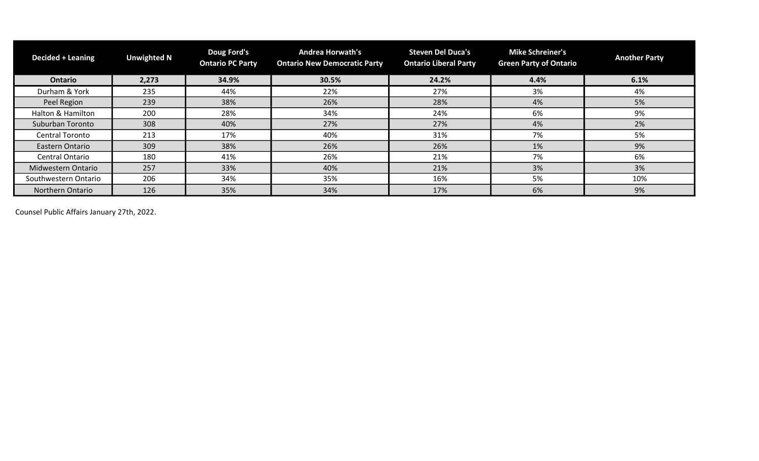| <b>Decided + Leaning</b> | <b>Unwighted N</b> | Doug Ford's<br><b>Ontario PC Party</b> | <b>Andrea Horwath's</b><br><b>Ontario New Democratic Party</b> | <b>Steven Del Duca's</b><br><b>Ontario Liberal Party</b> | <b>Mike Schreiner's</b><br><b>Green Party of Ontario</b> | <b>Another Party</b> |
|--------------------------|--------------------|----------------------------------------|----------------------------------------------------------------|----------------------------------------------------------|----------------------------------------------------------|----------------------|
| <b>Ontario</b>           | 2,273              | 34.9%                                  | 30.5%                                                          | 24.2%                                                    | 4.4%                                                     | 6.1%                 |
| Durham & York            | 235                | 44%                                    | 22%                                                            | 27%                                                      | 3%                                                       | 4%                   |
| Peel Region              | 239                | 38%                                    | 26%                                                            | 28%                                                      | 4%                                                       | 5%                   |
| Halton & Hamilton        | 200                | 28%                                    | 34%                                                            | 24%                                                      | 6%                                                       | 9%                   |
| Suburban Toronto         | 308                | 40%                                    | 27%                                                            | 27%                                                      | 4%                                                       | 2%                   |
| <b>Central Toronto</b>   | 213                | 17%                                    | 40%                                                            | 31%                                                      | 7%                                                       | 5%                   |
| Eastern Ontario          | 309                | 38%                                    | 26%                                                            | 26%                                                      | 1%                                                       | 9%                   |
| <b>Central Ontario</b>   | 180                | 41%                                    | 26%                                                            | 21%                                                      | 7%                                                       | 6%                   |
| Midwestern Ontario       | 257                | 33%                                    | 40%                                                            | 21%                                                      | 3%                                                       | 3%                   |
| Southwestern Ontario     | 206                | 34%                                    | 35%                                                            | 16%                                                      | 5%                                                       | 10%                  |
| Northern Ontario         | 126                | 35%                                    | 34%                                                            | 17%                                                      | 6%                                                       | 9%                   |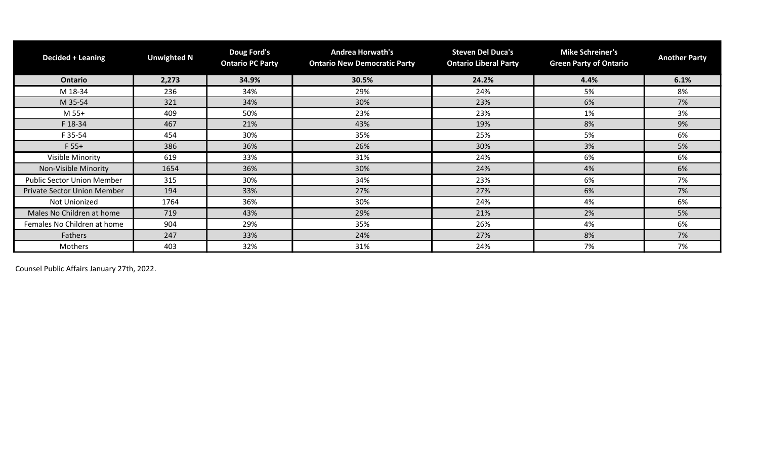| <b>Decided + Leaning</b>           | <b>Unwighted N</b> |       | <b>Doug Ford's</b><br><b>Andrea Horwath's</b><br><b>Ontario PC Party</b><br><b>Ontario New Democratic Party</b> |       | <b>Mike Schreiner's</b><br><b>Green Party of Ontario</b> | <b>Another Party</b> |  |
|------------------------------------|--------------------|-------|-----------------------------------------------------------------------------------------------------------------|-------|----------------------------------------------------------|----------------------|--|
| <b>Ontario</b>                     | 2,273              | 34.9% | 30.5%                                                                                                           | 24.2% | 4.4%                                                     | 6.1%                 |  |
| M 18-34                            | 236                | 34%   | 29%                                                                                                             | 24%   | 5%                                                       | 8%                   |  |
| M 35-54                            | 321                | 34%   | 30%                                                                                                             | 23%   | 6%                                                       | 7%                   |  |
| M 55+                              | 409                | 50%   | 23%                                                                                                             | 23%   | 1%                                                       | 3%                   |  |
| F 18-34                            | 467                | 21%   | 43%                                                                                                             | 19%   | 8%                                                       | 9%                   |  |
| F 35-54                            | 454                | 30%   | 35%                                                                                                             | 25%   | 5%                                                       | 6%                   |  |
| $F 55+$                            | 386                | 36%   | 26%                                                                                                             | 30%   | 3%                                                       | 5%                   |  |
| Visible Minority                   | 619                | 33%   | 31%                                                                                                             | 24%   | 6%                                                       | 6%                   |  |
| Non-Visible Minority               | 1654               | 36%   | 30%                                                                                                             | 24%   | 4%                                                       | 6%                   |  |
| <b>Public Sector Union Member</b>  | 315                | 30%   | 34%                                                                                                             | 23%   | 6%                                                       | 7%                   |  |
| <b>Private Sector Union Member</b> | 194                | 33%   | 27%                                                                                                             | 27%   | 6%                                                       | 7%                   |  |
| Not Unionized                      | 1764               | 36%   | 30%                                                                                                             | 24%   | 4%                                                       | 6%                   |  |
| Males No Children at home          | 719                | 43%   | 29%                                                                                                             | 21%   | 2%                                                       | 5%                   |  |
| Females No Children at home        | 904                | 29%   | 35%                                                                                                             | 26%   | 4%                                                       | 6%                   |  |
| Fathers                            | 247                | 33%   | 24%                                                                                                             | 27%   | 8%                                                       | 7%                   |  |
| Mothers                            | 403                | 32%   | 31%                                                                                                             | 24%   | 7%                                                       | 7%                   |  |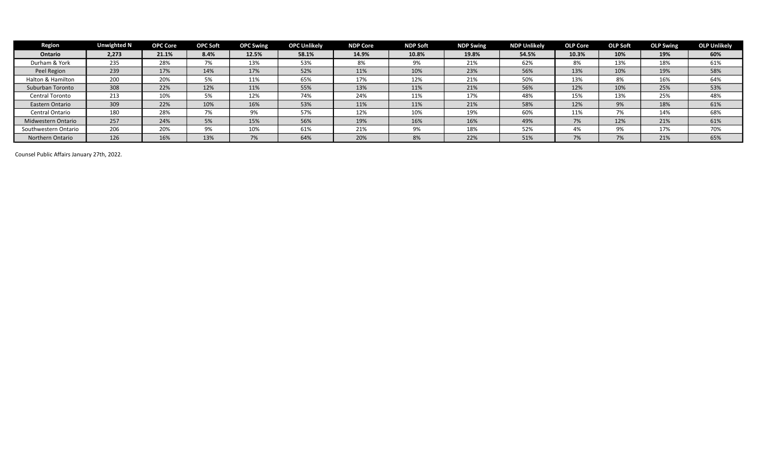| <b>Region</b>        | <b>Unwighted N</b> | <b>OPC Core</b> | <b>OPC Soft</b> | <b>OPC Swing</b> | <b>OPC Unlikely</b> | <b>NDP Core</b> | <b>NDP Soft</b> | <b>NDP Swing</b> | <b>NDP Unlikely</b> | <b>OLP Core</b> | <b>OLP Soft</b> | <b>OLP Swing</b> | <b>OLP Unlikely</b> |
|----------------------|--------------------|-----------------|-----------------|------------------|---------------------|-----------------|-----------------|------------------|---------------------|-----------------|-----------------|------------------|---------------------|
| <b>Ontario</b>       | 2,273              | 21.1%           | 8.4%            | 12.5%            | 58.1%               | 14.9%           | 10.8%           | 19.8%            | 54.5%               | 10.3%           | 10%             | 19%              | 60%                 |
| Durham & York        | 235                | 28%             | 7%              | 13%              | 53%                 | 8%              | 9%              | 21%              | 62%                 | 8%              | 13%             | 18%              | 61%                 |
| Peel Region          | 239                | 17%             | 14%             | 17%              | 52%                 | 11%             | 10%             | 23%              | 56%                 | 13%             | 10%             | 19%              | 58%                 |
| Halton & Hamilton    | 200                | 20%             | 5%              | 11%              | 65%                 | 17%             | 12%             | 21%              | 50%                 | 13%             | 8%              | 16%              | 64%                 |
| Suburban Toronto     | 308                | 22%             | 12%             | 11%              | 55%                 | 13%             | 11%             | 21%              | 56%                 | 12%             | 10%             | 25%              | 53%                 |
| Central Toronto      | 213                | 10%             | 5%              | 12%              | 74%                 | 24%             | 11%             | 17%              | 48%                 | 15%             | 13%             | 25%              | 48%                 |
| Eastern Ontario      | 309                | 22%             | 10%             | 16%              | 53%                 | 11%             | 11%             | 21%              | 58%                 | 12%             | 9%              | 18%              | 61%                 |
| Central Ontario      | 180                | 28%             | 7%              | 9%               | 57%                 | 12%             | 10%             | 19%              | 60%                 | 11%             | 7%              | 14%              | 68%                 |
| Midwestern Ontario   | 257                | 24%             | 5%              | 15%              | 56%                 | 19%             | 16%             | 16%              | 49%                 | 7%              | 12%             | 21%              | 61%                 |
| Southwestern Ontario | 206                | 20%             | 9%              | 10%              | 61%                 | 21%             | 9%              | 18%              | 52%                 | 4%              | 9%              | 17%              | 70%                 |
| Northern Ontario     | 126                | 16%             | 13%             | 7%               | 64%                 | 20%             | 8%              | 22%              | 51%                 | 7%              | 7%              | 21%              | 65%                 |